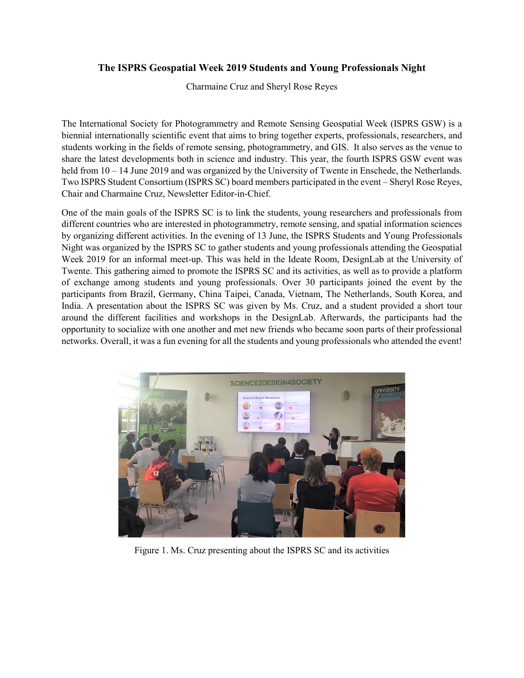## **The ISPRS Geospatial Week 2019 Students and Young Professionals Night**

Charmaine Cruz and Sheryl Rose Reyes

The International Society for Photogrammetry and Remote Sensing Geospatial Week (ISPRS GSW) is a biennial internationally scientific event that aims to bring together experts, professionals, researchers, and students working in the fields of remote sensing, photogrammetry, and GIS. It also serves as the venue to share the latest developments both in science and industry. This year, the fourth ISPRS GSW event was held from 10 – 14 June 2019 and was organized by the University of Twente in Enschede, the Netherlands. Two ISPRS Student Consortium (ISPRS SC) board members participated in the event – Sheryl Rose Reyes, Chair and Charmaine Cruz, Newsletter Editor-in-Chief.

One of the main goals of the ISPRS SC is to link the students, young researchers and professionals from different countries who are interested in photogrammetry, remote sensing, and spatial information sciences by organizing different activities. In the evening of 13 June, the ISPRS Students and Young Professionals Night was organized by the ISPRS SC to gather students and young professionals attending the Geospatial Week 2019 for an informal meet-up. This was held in the Ideate Room, DesignLab at the University of Twente. This gathering aimed to promote the ISPRS SC and its activities, as well as to provide a platform of exchange among students and young professionals. Over 30 participants joined the event by the participants from Brazil, Germany, China Taipei, Canada, Vietnam, The Netherlands, South Korea, and India. A presentation about the ISPRS SC was given by Ms. Cruz, and a student provided a short tour around the different facilities and workshops in the DesignLab. Afterwards, the participants had the opportunity to socialize with one another and met new friends who became soon parts of their professional networks. Overall, it was a fun evening for all the students and young professionals who attended the event!



Figure 1. Ms. Cruz presenting about the ISPRS SC and its activities